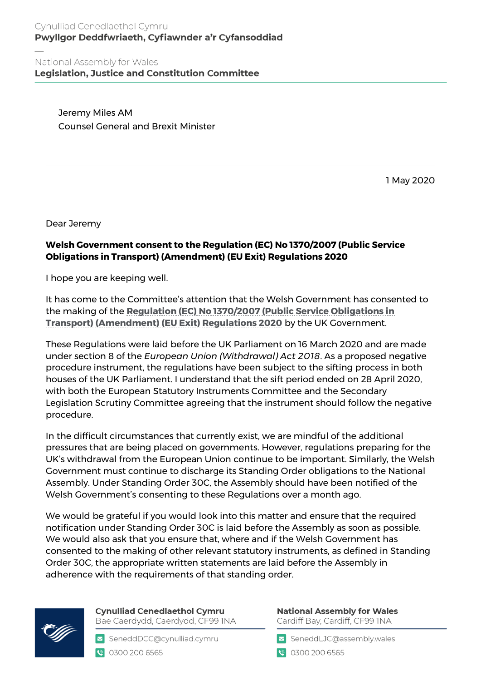## Cynulliad Cenedlaethol Cymru Pwyllgor Deddfwriaeth, Cyfiawnder a'r Cyfansoddiad

National Assembly for Wales **Legislation, Justice and Constitution Committee** 

> Jeremy Miles AM Counsel General and Brexit Minister

> > 1 May 2020

Dear Jeremy

## **Welsh Government consent to the Regulation (EC) No 1370/2007 (Public Service Obligations in Transport) (Amendment) (EU Exit) Regulations 2020**

I hope you are keeping well.

It has come to the Committee's attention that the Welsh Government has consented to the making of the **[Regulation \(EC\) No 1370/2007 \(Public Service Obligations in](https://statutoryinstruments.parliament.uk/timeline/SEQg20iq/ProposedNegative/)  [Transport\) \(Amendment\) \(EU Exit\) Regulations 2020](https://statutoryinstruments.parliament.uk/timeline/SEQg20iq/ProposedNegative/)** by the UK Government.

These Regulations were laid before the UK Parliament on 16 March 2020 and are made under section 8 of the *European Union (Withdrawal) Act 2018*. As a proposed negative procedure instrument, the regulations have been subject to the sifting process in both houses of the UK Parliament. I understand that the sift period ended on 28 April 2020, with both the European Statutory Instruments Committee and the Secondary Legislation Scrutiny Committee agreeing that the instrument should follow the negative procedure.

In the difficult circumstances that currently exist, we are mindful of the additional pressures that are being placed on governments. However, regulations preparing for the UK's withdrawal from the European Union continue to be important. Similarly, the Welsh Government must continue to discharge its Standing Order obligations to the National Assembly. Under Standing Order 30C, the Assembly should have been notified of the Welsh Government's consenting to these Regulations over a month ago.

We would be grateful if you would look into this matter and ensure that the required notification under Standing Order 30C is laid before the Assembly as soon as possible. We would also ask that you ensure that, where and if the Welsh Government has consented to the making of other relevant statutory instruments, as defined in Standing Order 30C, the appropriate written statements are laid before the Assembly in adherence with the requirements of that standing order.



**Cynulliad Cenedlaethol Cymru** Bae Caerdydd, Caerdydd, CF99 INA

SeneddDCC@cynulliad.cymru 18 0300 200 6565

**National Assembly for Wales** Cardiff Bay, Cardiff, CF99 INA

SeneddLJC@assembly.wales

● 0300 200 6565